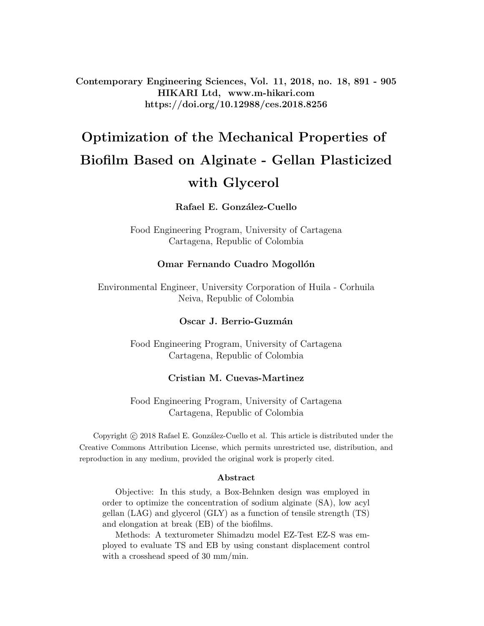Contemporary Engineering Sciences, Vol. 11, 2018, no. 18, 891 - 905 HIKARI Ltd, www.m-hikari.com https://doi.org/10.12988/ces.2018.8256

# Optimization of the Mechanical Properties of Biofilm Based on Alginate - Gellan Plasticized with Glycerol

#### Rafael E. González-Cuello

Food Engineering Program, University of Cartagena Cartagena, Republic of Colombia

#### Omar Fernando Cuadro Mogollón

Environmental Engineer, University Corporation of Huila - Corhuila Neiva, Republic of Colombia

#### Oscar J. Berrio-Guzmán

Food Engineering Program, University of Cartagena Cartagena, Republic of Colombia

#### Cristian M. Cuevas-Martinez

Food Engineering Program, University of Cartagena Cartagena, Republic of Colombia

Copyright © 2018 Rafael E. González-Cuello et al. This article is distributed under the Creative Commons Attribution License, which permits unrestricted use, distribution, and reproduction in any medium, provided the original work is properly cited.

#### Abstract

Objective: In this study, a Box-Behnken design was employed in order to optimize the concentration of sodium alginate (SA), low acyl gellan (LAG) and glycerol (GLY) as a function of tensile strength (TS) and elongation at break (EB) of the biofilms.

Methods: A texturometer Shimadzu model EZ-Test EZ-S was employed to evaluate TS and EB by using constant displacement control with a crosshead speed of 30 mm/min.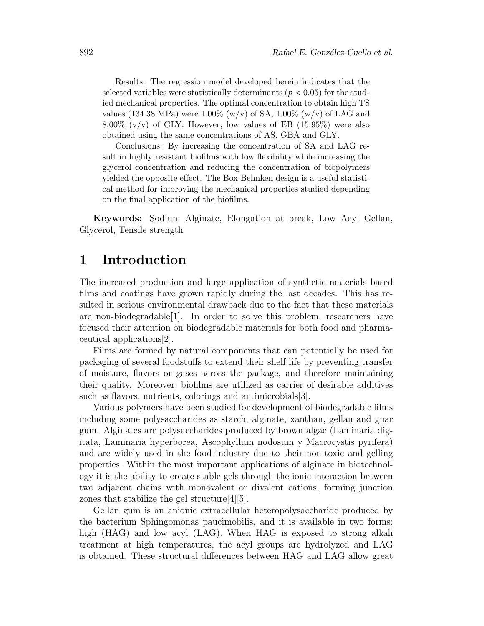Results: The regression model developed herein indicates that the selected variables were statistically determinants ( $p < 0.05$ ) for the studied mechanical properties. The optimal concentration to obtain high TS values (134.38 MPa) were 1.00% (w/v) of SA, 1.00% (w/v) of LAG and  $8.00\%$  (v/v) of GLY. However, low values of EB (15.95%) were also obtained using the same concentrations of AS, GBA and GLY.

Conclusions: By increasing the concentration of SA and LAG result in highly resistant biofilms with low flexibility while increasing the glycerol concentration and reducing the concentration of biopolymers yielded the opposite effect. The Box-Behnken design is a useful statistical method for improving the mechanical properties studied depending on the final application of the biofilms.

Keywords: Sodium Alginate, Elongation at break, Low Acyl Gellan, Glycerol, Tensile strength

## 1 Introduction

The increased production and large application of synthetic materials based films and coatings have grown rapidly during the last decades. This has resulted in serious environmental drawback due to the fact that these materials are non-biodegradable[1]. In order to solve this problem, researchers have focused their attention on biodegradable materials for both food and pharmaceutical applications[2].

Films are formed by natural components that can potentially be used for packaging of several foodstuffs to extend their shelf life by preventing transfer of moisture, flavors or gases across the package, and therefore maintaining their quality. Moreover, biofilms are utilized as carrier of desirable additives such as flavors, nutrients, colorings and antimicrobials[3].

Various polymers have been studied for development of biodegradable films including some polysaccharides as starch, alginate, xanthan, gellan and guar gum. Alginates are polysaccharides produced by brown algae (Laminaria digitata, Laminaria hyperborea, Ascophyllum nodosum y Macrocystis pyrifera) and are widely used in the food industry due to their non-toxic and gelling properties. Within the most important applications of alginate in biotechnology it is the ability to create stable gels through the ionic interaction between two adjacent chains with monovalent or divalent cations, forming junction zones that stabilize the gel structure[4][5].

Gellan gum is an anionic extracellular heteropolysaccharide produced by the bacterium Sphingomonas paucimobilis, and it is available in two forms: high (HAG) and low acyl (LAG). When HAG is exposed to strong alkali treatment at high temperatures, the acyl groups are hydrolyzed and LAG is obtained. These structural differences between HAG and LAG allow great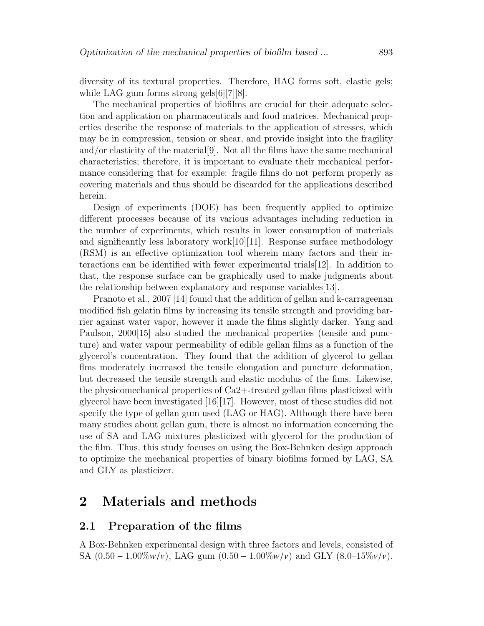diversity of its textural properties. Therefore, HAG forms soft, elastic gels; while LAG gum forms strong gels[6][7][8].

The mechanical properties of biofilms are crucial for their adequate selection and application on pharmaceuticals and food matrices. Mechanical properties describe the response of materials to the application of stresses, which may be in compression, tension or shear, and provide insight into the fragility and/or elasticity of the material[9]. Not all the films have the same mechanical characteristics; therefore, it is important to evaluate their mechanical performance considering that for example: fragile films do not perform properly as covering materials and thus should be discarded for the applications described herein.

Design of experiments (DOE) has been frequently applied to optimize different processes because of its various advantages including reduction in the number of experiments, which results in lower consumption of materials and significantly less laboratory work $[10][11]$ . Response surface methodology (RSM) is an effective optimization tool wherein many factors and their interactions can be identified with fewer experimental trials[12]. In addition to that, the response surface can be graphically used to make judgments about the relationship between explanatory and response variables[13].

Pranoto et al., 2007 [14] found that the addition of gellan and k-carrageenan modified fish gelatin films by increasing its tensile strength and providing barrier against water vapor, however it made the films slightly darker. Yang and Paulson, 2000[15] also studied the mechanical properties (tensile and puncture) and water vapour permeability of edible gellan films as a function of the glycerol's concentration. They found that the addition of glycerol to gellan flms moderately increased the tensile elongation and puncture deformation, but decreased the tensile strength and elastic modulus of the fims. Likewise, the physicomechanical properties of Ca2+-treated gellan films plasticized with glycerol have been investigated [16][17]. However, most of these studies did not specify the type of gellan gum used (LAG or HAG). Although there have been many studies about gellan gum, there is almost no information concerning the use of SA and LAG mixtures plasticized with glycerol for the production of the film. Thus, this study focuses on using the Box-Behnken design approach to optimize the mechanical properties of binary biofilms formed by LAG, SA and GLY as plasticizer.

# 2 Materials and methods

#### 2.1 Preparation of the films

A Box-Behnken experimental design with three factors and levels, consisted of SA  $(0.50 - 1.00\% w/v)$ , LAG gum  $(0.50 - 1.00\% w/v)$  and GLY  $(8.0 - 15\% v/v)$ .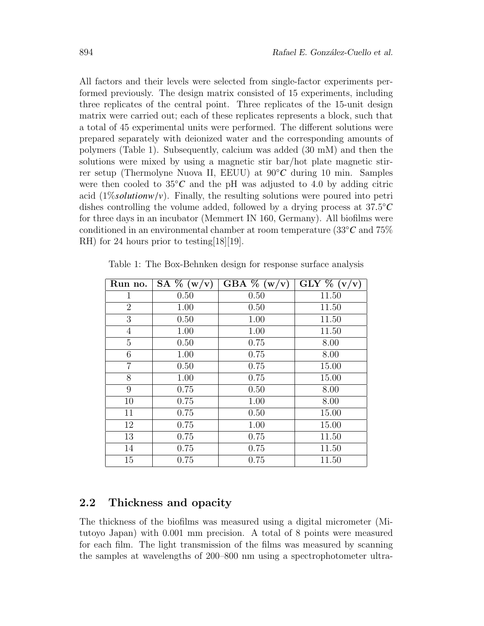All factors and their levels were selected from single-factor experiments performed previously. The design matrix consisted of 15 experiments, including three replicates of the central point. Three replicates of the 15-unit design matrix were carried out; each of these replicates represents a block, such that a total of 45 experimental units were performed. The different solutions were prepared separately with deionized water and the corresponding amounts of polymers (Table 1). Subsequently, calcium was added (30 mM) and then the solutions were mixed by using a magnetic stir bar/hot plate magnetic stirrer setup (Thermolyne Nuova II, EEUU) at 90◦*C* during 10 min. Samples were then cooled to  $35^{\circ}C$  and the pH was adjusted to 4.0 by adding citric acid  $(1\%$ *solutionw/v*). Finally, the resulting solutions were poured into petri dishes controlling the volume added, followed by a drying process at  $37.5^{\circ}C$ <br>for three days in an incubator (Memmert IN 160 Germany). All biofilms were for three days in an incubator (Memmert IN 160, Germany). All biofilms were conditioned in an environmental chamber at room temperature (33◦*C* and 75% RH) for 24 hours prior to testing [18][19].

| Run no.        | $\overline{\text{SA}}$ % (w/v) | GBA $\%$ (w/v) | GLY $\%$ (v/v) |
|----------------|--------------------------------|----------------|----------------|
| 1              | 0.50                           | 0.50           | 11.50          |
| $\overline{2}$ | 1.00                           | 0.50           | 11.50          |
| 3              | 0.50                           | 1.00           | 11.50          |
| $\overline{4}$ | 1.00                           | 1.00           | 11.50          |
| $\overline{5}$ | 0.50                           | 0.75           | 8.00           |
| 6              | 1.00                           | 0.75           | 8.00           |
| $\overline{7}$ | 0.50                           | 0.75           | 15.00          |
| 8              | 1.00                           | 0.75           | 15.00          |
| 9              | 0.75                           | 0.50           | 8.00           |
| 10             | 0.75                           | 1.00           | 8.00           |
| 11             | 0.75                           | 0.50           | 15.00          |
| 12             | 0.75                           | 1.00           | 15.00          |
| 13             | 0.75                           | 0.75           | 11.50          |
| 14             | 0.75                           | 0.75           | 11.50          |
| 15             | 0.75                           | 0.75           | 11.50          |

Table 1: The Box-Behnken design for response surface analysis

### 2.2 Thickness and opacity

The thickness of the biofilms was measured using a digital micrometer (Mitutoyo Japan) with 0.001 mm precision. A total of 8 points were measured for each film. The light transmission of the films was measured by scanning the samples at wavelengths of 200–800 nm using a spectrophotometer ultra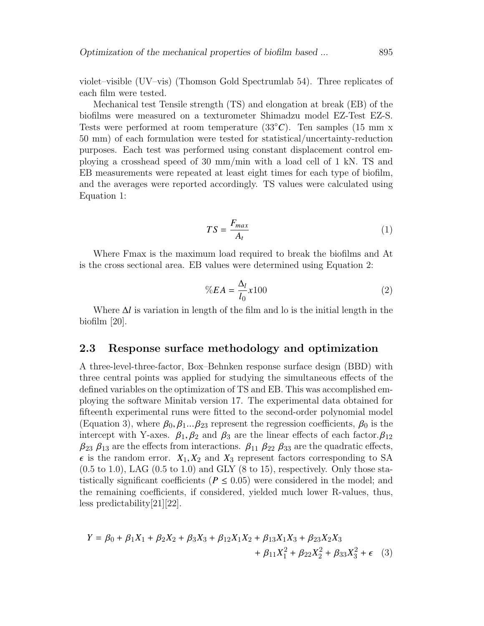violet–visible (UV–vis) (Thomson Gold Spectrumlab 54). Three replicates of each film were tested.

Mechanical test Tensile strength (TS) and elongation at break (EB) of the biofilms were measured on a texturometer Shimadzu model EZ-Test EZ-S. Tests were performed at room temperature (33◦*C*). Ten samples (15 mm x 50 mm) of each formulation were tested for statistical/uncertainty-reduction purposes. Each test was performed using constant displacement control employing a crosshead speed of 30 mm/min with a load cell of 1 kN. TS and EB measurements were repeated at least eight times for each type of biofilm, and the averages were reported accordingly. TS values were calculated using Equation 1:

$$
TS = \frac{F_{max}}{A_t} \tag{1}
$$

Where Fmax is the maximum load required to break the biofilms and At is the cross sectional area. EB values were determined using Equation 2:

$$
\%EA = \frac{\Delta_l}{l_0} x 100\tag{2}
$$

Where ∆*l* is variation in length of the film and lo is the initial length in the biofilm [20].

#### 2.3 Response surface methodology and optimization

A three-level-three-factor, Box–Behnken response surface design (BBD) with three central points was applied for studying the simultaneous effects of the defined variables on the optimization of TS and EB. This was accomplished employing the software Minitab version 17. The experimental data obtained for fifteenth experimental runs were fitted to the second-order polynomial model (Equation 3), where  $\beta_0, \beta_1...\beta_{23}$  represent the regression coefficients,  $\beta_0$  is the intercept with Y-axes.  $\beta_1, \beta_2$  and  $\beta_3$  are the linear effects of each factor.  $\beta_{12}$  $\beta_{23}$   $\beta_{13}$  are the effects from interactions.  $\beta_{11}$   $\beta_{22}$   $\beta_{33}$  are the quadratic effects,  $\epsilon$  is the random error.  $X_1, X_2$  and  $X_3$  represent factors corresponding to SA  $(0.5 \text{ to } 1.0)$ , LAG  $(0.5 \text{ to } 1.0)$  and GLY  $(8 \text{ to } 15)$ , respectively. Only those statistically significant coefficients ( $P \leq 0.05$ ) were considered in the model; and the remaining coefficients, if considered, yielded much lower R-values, thus, less predictability[21][22].

$$
Y = \beta_0 + \beta_1 X_1 + \beta_2 X_2 + \beta_3 X_3 + \beta_{12} X_1 X_2 + \beta_{13} X_1 X_3 + \beta_{23} X_2 X_3
$$
  
+  $\beta_{11} X_1^2 + \beta_{22} X_2^2 + \beta_{33} X_3^2 + \epsilon$  (3)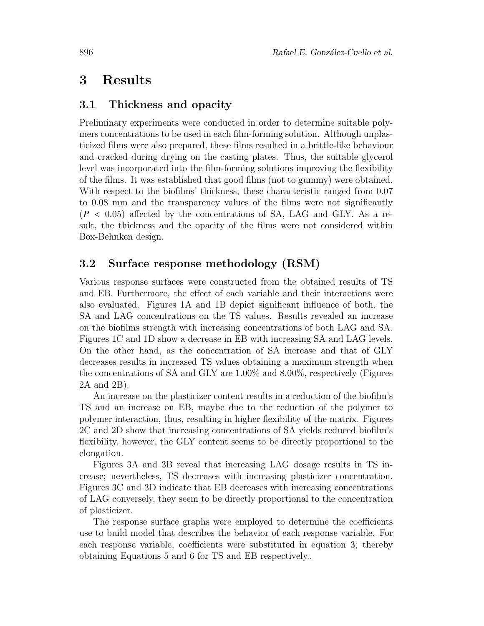# 3 Results

### 3.1 Thickness and opacity

Preliminary experiments were conducted in order to determine suitable polymers concentrations to be used in each film-forming solution. Although unplasticized films were also prepared, these films resulted in a brittle-like behaviour and cracked during drying on the casting plates. Thus, the suitable glycerol level was incorporated into the film-forming solutions improving the flexibility of the films. It was established that good films (not to gummy) were obtained. With respect to the biofilms' thickness, these characteristic ranged from 0.07 to 0.08 mm and the transparency values of the films were not significantly  $(P < 0.05)$  affected by the concentrations of SA, LAG and GLY. As a result, the thickness and the opacity of the films were not considered within Box-Behnken design.

### 3.2 Surface response methodology (RSM)

Various response surfaces were constructed from the obtained results of TS and EB. Furthermore, the effect of each variable and their interactions were also evaluated. Figures 1A and 1B depict significant influence of both, the SA and LAG concentrations on the TS values. Results revealed an increase on the biofilms strength with increasing concentrations of both LAG and SA. Figures 1C and 1D show a decrease in EB with increasing SA and LAG levels. On the other hand, as the concentration of SA increase and that of GLY decreases results in increased TS values obtaining a maximum strength when the concentrations of SA and GLY are 1.00% and 8.00%, respectively (Figures 2A and 2B).

An increase on the plasticizer content results in a reduction of the biofilm's TS and an increase on EB, maybe due to the reduction of the polymer to polymer interaction, thus, resulting in higher flexibility of the matrix. Figures 2C and 2D show that increasing concentrations of SA yields reduced biofilm's flexibility, however, the GLY content seems to be directly proportional to the elongation.

Figures 3A and 3B reveal that increasing LAG dosage results in TS increase; nevertheless, TS decreases with increasing plasticizer concentration. Figures 3C and 3D indicate that EB decreases with increasing concentrations of LAG conversely, they seem to be directly proportional to the concentration of plasticizer.

The response surface graphs were employed to determine the coefficients use to build model that describes the behavior of each response variable. For each response variable, coefficients were substituted in equation 3; thereby obtaining Equations 5 and 6 for TS and EB respectively..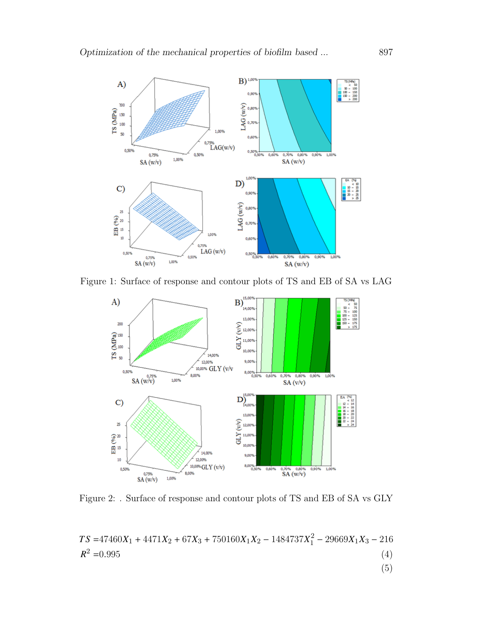

Figure 1: Surface of response and contour plots of TS and EB of SA vs LAG



Figure 2: . Surface of response and contour plots of TS and EB of SA vs GLY

$$
TS = 47460X_1 + 4471X_2 + 67X_3 + 750160X_1X_2 - 1484737X_1^2 - 29669X_1X_3 - 216
$$
  
\n
$$
R^2 = 0.995
$$
\n(4)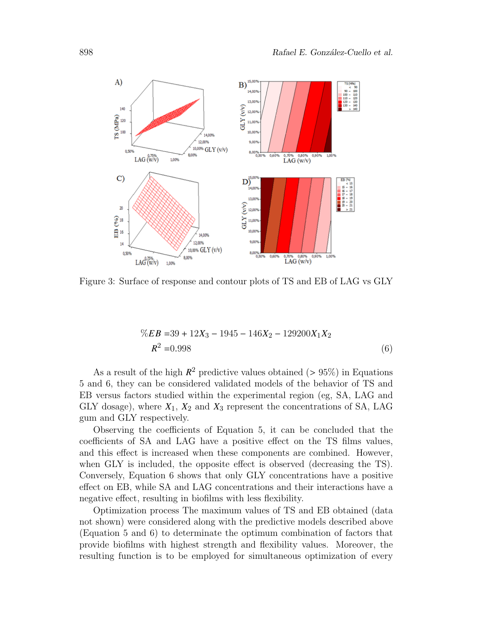

Figure 3: Surface of response and contour plots of TS and EB of LAG vs GLY

$$
\%EB = 39 + 12X_3 - 1945 - 146X_2 - 129200X_1X_2
$$
  

$$
R^2 = 0.998
$$
 (6)

As a result of the high  $R^2$  predictive values obtained ( $> 95\%$ ) in Equations<br>and 6, they can be considered validated models of the behavior of TS and 5 and 6, they can be considered validated models of the behavior of TS and EB versus factors studied within the experimental region (eg, SA, LAG and GLY dosage), where *X*1, *X*<sup>2</sup> and *X*<sup>3</sup> represent the concentrations of SA, LAG gum and GLY respectively.

Observing the coefficients of Equation 5, it can be concluded that the coefficients of SA and LAG have a positive effect on the TS films values, and this effect is increased when these components are combined. However, when GLY is included, the opposite effect is observed (decreasing the TS). Conversely, Equation 6 shows that only GLY concentrations have a positive effect on EB, while SA and LAG concentrations and their interactions have a negative effect, resulting in biofilms with less flexibility.

Optimization process The maximum values of TS and EB obtained (data not shown) were considered along with the predictive models described above (Equation 5 and 6) to determinate the optimum combination of factors that provide biofilms with highest strength and flexibility values. Moreover, the resulting function is to be employed for simultaneous optimization of every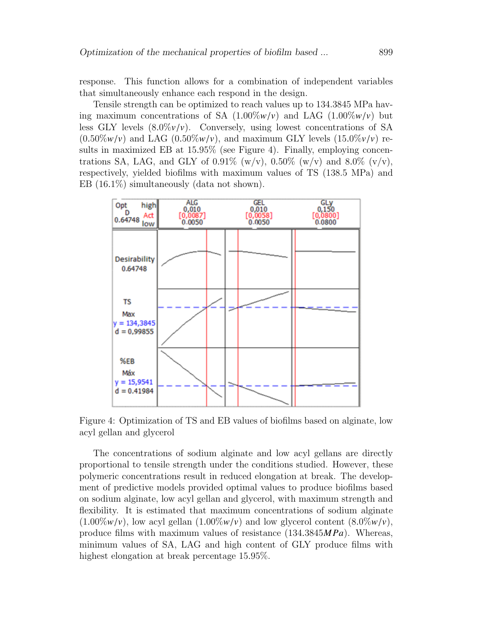response. This function allows for a combination of independent variables that simultaneously enhance each respond in the design.

Tensile strength can be optimized to reach values up to 134.3845 MPa having maximum concentrations of SA  $(1.00\%w/v)$  and LAG  $(1.00\%w/v)$  but less GLY levels  $(8.0\%v/v)$ . Conversely, using lowest concentrations of SA  $(0.50\%w/v)$  and LAG  $(0.50\%w/v)$ , and maximum GLY levels  $(15.0\%v/v)$  results in maximized EB at 15.95% (see Figure 4). Finally, employing concentrations SA, LAG, and GLY of 0.91% (w/v), 0.50% (w/v) and 8.0% (v/v), respectively, yielded biofilms with maximum values of TS (138.5 MPa) and EB  $(16.1\%)$  simultaneously (data not shown).



Figure 4: Optimization of TS and EB values of biofilms based on alginate, low acyl gellan and glycerol

The concentrations of sodium alginate and low acyl gellans are directly proportional to tensile strength under the conditions studied. However, these polymeric concentrations result in reduced elongation at break. The development of predictive models provided optimal values to produce biofilms based on sodium alginate, low acyl gellan and glycerol, with maximum strength and flexibility. It is estimated that maximum concentrations of sodium alginate  $(1.00\%w/v)$ , low acyl gellan  $(1.00\%w/v)$  and low glycerol content  $(8.0\%w/v)$ , produce films with maximum values of resistance (134.3845*MPa*). Whereas, minimum values of SA, LAG and high content of GLY produce films with highest elongation at break percentage 15.95%.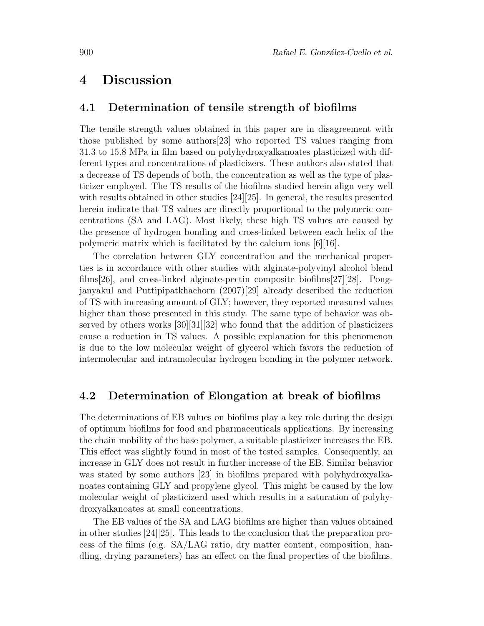# 4 Discussion

#### 4.1 Determination of tensile strength of biofilms

The tensile strength values obtained in this paper are in disagreement with those published by some authors[23] who reported TS values ranging from 31.3 to 15.8 MPa in film based on polyhydroxyalkanoates plasticized with different types and concentrations of plasticizers. These authors also stated that a decrease of TS depends of both, the concentration as well as the type of plasticizer employed. The TS results of the biofilms studied herein align very well with results obtained in other studies [24][25]. In general, the results presented herein indicate that TS values are directly proportional to the polymeric concentrations (SA and LAG). Most likely, these high TS values are caused by the presence of hydrogen bonding and cross-linked between each helix of the polymeric matrix which is facilitated by the calcium ions [6][16].

The correlation between GLY concentration and the mechanical properties is in accordance with other studies with alginate-polyvinyl alcohol blend films[26], and cross-linked alginate-pectin composite biofilms[27][28]. Pongjanyakul and Puttipipatkhachorn (2007)[29] already described the reduction of TS with increasing amount of GLY; however, they reported measured values higher than those presented in this study. The same type of behavior was observed by others works [30][31][32] who found that the addition of plasticizers cause a reduction in TS values. A possible explanation for this phenomenon is due to the low molecular weight of glycerol which favors the reduction of intermolecular and intramolecular hydrogen bonding in the polymer network.

### 4.2 Determination of Elongation at break of biofilms

The determinations of EB values on biofilms play a key role during the design of optimum biofilms for food and pharmaceuticals applications. By increasing the chain mobility of the base polymer, a suitable plasticizer increases the EB. This effect was slightly found in most of the tested samples. Consequently, an increase in GLY does not result in further increase of the EB. Similar behavior was stated by some authors [23] in biofilms prepared with polyhydroxyalkanoates containing GLY and propylene glycol. This might be caused by the low molecular weight of plasticizerd used which results in a saturation of polyhydroxyalkanoates at small concentrations.

The EB values of the SA and LAG biofilms are higher than values obtained in other studies [24][25]. This leads to the conclusion that the preparation process of the films (e.g. SA/LAG ratio, dry matter content, composition, handling, drying parameters) has an effect on the final properties of the biofilms.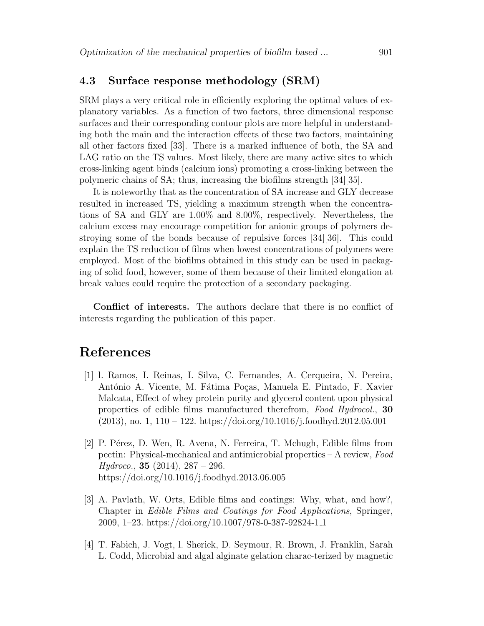#### 4.3 Surface response methodology (SRM)

SRM plays a very critical role in efficiently exploring the optimal values of explanatory variables. As a function of two factors, three dimensional response surfaces and their corresponding contour plots are more helpful in understanding both the main and the interaction effects of these two factors, maintaining all other factors fixed [33]. There is a marked influence of both, the SA and LAG ratio on the TS values. Most likely, there are many active sites to which cross-linking agent binds (calcium ions) promoting a cross-linking between the polymeric chains of SA; thus, increasing the biofilms strength [34][35].

It is noteworthy that as the concentration of SA increase and GLY decrease resulted in increased TS, yielding a maximum strength when the concentrations of SA and GLY are 1.00% and 8.00%, respectively. Nevertheless, the calcium excess may encourage competition for anionic groups of polymers destroying some of the bonds because of repulsive forces [34][36]. This could explain the TS reduction of films when lowest concentrations of polymers were employed. Most of the biofilms obtained in this study can be used in packaging of solid food, however, some of them because of their limited elongation at break values could require the protection of a secondary packaging.

Conflict of interests. The authors declare that there is no conflict of interests regarding the publication of this paper.

### References

- [1] l. Ramos, I. Reinas, I. Silva, C. Fernandes, A. Cerqueira, N. Pereira, António A. Vicente, M. Fátima Poças, Manuela E. Pintado, F. Xavier Malcata, Effect of whey protein purity and glycerol content upon physical properties of edible films manufactured therefrom, Food Hydrocol., 30  $(2013)$ , no. 1, 110 – 122. https://doi.org/10.1016/j.foodhyd.2012.05.001
- [2] P. Pérez, D. Wen, R. Avena, N. Ferreira, T. Mchugh, Edible films from pectin: Physical-mechanical and antimicrobial properties – A review, Food  $Hydroco., 35 (2014), 287 - 296.$ https://doi.org/10.1016/j.foodhyd.2013.06.005
- [3] A. Pavlath, W. Orts, Edible films and coatings: Why, what, and how?, Chapter in Edible Films and Coatings for Food Applications, Springer, 2009, 1–23. https://doi.org/10.1007/978-0-387-92824-1 1
- [4] T. Fabich, J. Vogt, l. Sherick, D. Seymour, R. Brown, J. Franklin, Sarah L. Codd, Microbial and algal alginate gelation charac-terized by magnetic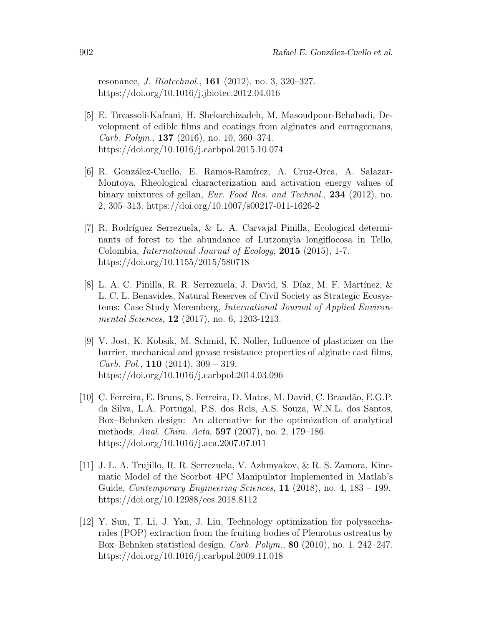resonance, J. Biotechnol., 161 (2012), no. 3, 320–327. https://doi.org/10.1016/j.jbiotec.2012.04.016

- [5] E. Tavassoli-Kafrani, H. Shekarchizadeh, M. Masoudpour-Behabadi, Development of edible films and coatings from alginates and carrageenans, *Carb. Polym.*, **137** (2016), no. 10, 360–374. https://doi.org/10.1016/j.carbpol.2015.10.074
- [6] R. González-Cuello, E. Ramos-Ramírez, A. Cruz-Orea, A. Salazar-Montoya, Rheological characterization and activation energy values of binary mixtures of gellan, *Eur. Food Res. and Technol.*, **234** (2012), no. 2, 305–313. https://doi.org/10.1007/s00217-011-1626-2
- [7] R. Rodríguez Serrezuela, & L. A. Carvajal Pinilla, Ecological determinants of forest to the abundance of Lutzomyia longiflocosa in Tello, Colombia, *International Journal of Ecology*, **2015** (2015), 1-7. https://doi.org/10.1155/2015/580718
- [8] L. A. C. Pinilla, R. R. Serrezuela, J. David, S. Díaz, M. F. Martínez,  $\&$ L. C. L. Benavides, Natural Reserves of Civil Society as Strategic Ecosystems: Case Study Meremberg, International Journal of Applied Environmental Sciences, **12** (2017), no. 6, 1203-1213.
- [9] V. Jost, K. Kobsik, M. Schmid, K. Noller, Influence of plasticizer on the barrier, mechanical and grease resistance properties of alginate cast films, *Carb. Pol.*, **110** (2014),  $309 - 319$ . https://doi.org/10.1016/j.carbpol.2014.03.096
- [10] C. Ferreira, E. Bruns, S. Ferreira, D. Matos, M. David, C. Brand˜ao, E.G.P. da Silva, L.A. Portugal, P.S. dos Reis, A.S. Souza, W.N.L. dos Santos, Box–Behnken design: An alternative for the optimization of analytical methods, Anal. Chim. Acta, 597 (2007), no. 2, 179–186. https://doi.org/10.1016/j.aca.2007.07.011
- [11] J. L. A. Trujillo, R. R. Serrezuela, V. Azhmyakov, & R. S. Zamora, Kinematic Model of the Scorbot 4PC Manipulator Implemented in Matlab's Guide, *Contemporary Engineering Sciences*,  $11$  (2018), no. 4, 183 – 199. https://doi.org/10.12988/ces.2018.8112
- [12] Y. Sun, T. Li, J. Yan, J. Liu, Technology optimization for polysaccharides (POP) extraction from the fruiting bodies of Pleurotus ostreatus by Box–Behnken statistical design, Carb. Polym., 80 (2010), no. 1, 242–247. https://doi.org/10.1016/j.carbpol.2009.11.018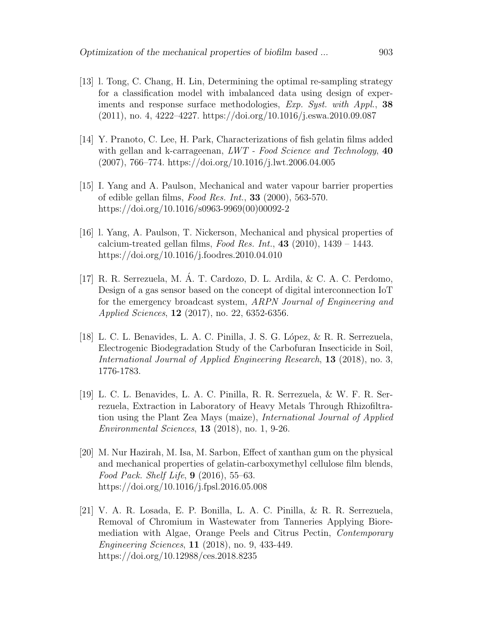- [13] l. Tong, C. Chang, H. Lin, Determining the optimal re-sampling strategy for a classification model with imbalanced data using design of experiments and response surface methodologies, *Exp. Syst. with Appl.*, 38 (2011), no. 4, 4222–4227. https://doi.org/10.1016/j.eswa.2010.09.087
- [14] Y. Pranoto, C. Lee, H. Park, Characterizations of fish gelatin films added with gellan and k-carrageenan,  $LWT$  - Food Science and Technology,  $40$ (2007), 766–774. https://doi.org/10.1016/j.lwt.2006.04.005
- [15] I. Yang and A. Paulson, Mechanical and water vapour barrier properties of edible gellan films, Food Res. Int.,  $33$  (2000), 563-570. https://doi.org/10.1016/s0963-9969(00)00092-2
- [16] l. Yang, A. Paulson, T. Nickerson, Mechanical and physical properties of calcium-treated gellan films, Food Res. Int.,  $43$  (2010), 1439 – 1443. https://doi.org/10.1016/j.foodres.2010.04.010
- [17] R. R. Serrezuela, M. A. T. Cardozo, D. L. Ardila, & C. A. C. Perdomo, ´ Design of a gas sensor based on the concept of digital interconnection IoT for the emergency broadcast system, ARPN Journal of Engineering and Applied Sciences, 12 (2017), no. 22, 6352-6356.
- [18] L. C. L. Benavides, L. A. C. Pinilla, J. S. G. L´opez, & R. R. Serrezuela, Electrogenic Biodegradation Study of the Carbofuran Insecticide in Soil, International Journal of Applied Engineering Research, 13 (2018), no. 3, 1776-1783.
- [19] L. C. L. Benavides, L. A. C. Pinilla, R. R. Serrezuela, & W. F. R. Serrezuela, Extraction in Laboratory of Heavy Metals Through Rhizofiltration using the Plant Zea Mays (maize), International Journal of Applied Environmental Sciences, 13 (2018), no. 1, 9-26.
- [20] M. Nur Hazirah, M. Isa, M. Sarbon, Effect of xanthan gum on the physical and mechanical properties of gelatin-carboxymethyl cellulose film blends, Food Pack. Shelf Life, 9 (2016), 55–63. https://doi.org/10.1016/j.fpsl.2016.05.008
- [21] V. A. R. Losada, E. P. Bonilla, L. A. C. Pinilla, & R. R. Serrezuela, Removal of Chromium in Wastewater from Tanneries Applying Bioremediation with Algae, Orange Peels and Citrus Pectin, Contemporary Engineering Sciences, 11 (2018), no. 9, 433-449. https://doi.org/10.12988/ces.2018.8235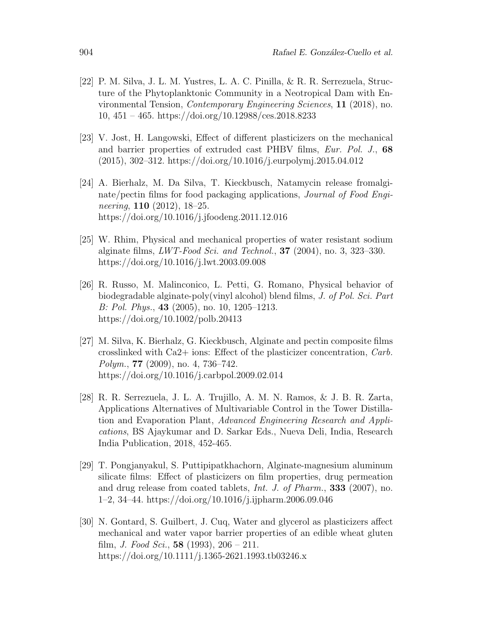- [22] P. M. Silva, J. L. M. Yustres, L. A. C. Pinilla, & R. R. Serrezuela, Structure of the Phytoplanktonic Community in a Neotropical Dam with Environmental Tension, Contemporary Engineering Sciences, 11 (2018), no. 10, 451 – 465. https://doi.org/10.12988/ces.2018.8233
- [23] V. Jost, H. Langowski, Effect of different plasticizers on the mechanical and barrier properties of extruded cast PHBV films, *Eur. Pol. J.*, 68 (2015), 302–312. https://doi.org/10.1016/j.eurpolymj.2015.04.012
- [24] A. Bierhalz, M. Da Silva, T. Kieckbusch, Natamycin release fromalginate/pectin films for food packaging applications, Journal of Food Engineering, 110 (2012), 18–25. https://doi.org/10.1016/j.jfoodeng.2011.12.016
- [25] W. Rhim, Physical and mechanical properties of water resistant sodium alginate films,  $LWT\text{-}Food Sci. and Technol.$ , **37** (2004), no. 3, 323–330. https://doi.org/10.1016/j.lwt.2003.09.008
- [26] R. Russo, M. Malinconico, L. Petti, G. Romano, Physical behavior of biodegradable alginate-poly(vinyl alcohol) blend films, J. of Pol. Sci. Part B: Pol. Phys., 43 (2005), no. 10, 1205–1213. https://doi.org/10.1002/polb.20413
- [27] M. Silva, K. Bierhalz, G. Kieckbusch, Alginate and pectin composite films crosslinked with Ca2+ ions: Effect of the plasticizer concentration, Carb. Polym., 77 (2009), no. 4, 736–742. https://doi.org/10.1016/j.carbpol.2009.02.014
- [28] R. R. Serrezuela, J. L. A. Trujillo, A. M. N. Ramos, & J. B. R. Zarta, Applications Alternatives of Multivariable Control in the Tower Distillation and Evaporation Plant, Advanced Engineering Research and Applications, BS Ajaykumar and D. Sarkar Eds., Nueva Deli, India, Research India Publication, 2018, 452-465.
- [29] T. Pongjanyakul, S. Puttipipatkhachorn, Alginate-magnesium aluminum silicate films: Effect of plasticizers on film properties, drug permeation and drug release from coated tablets, *Int. J. of Pharm.*, **333** (2007), no. 1–2, 34–44. https://doi.org/10.1016/j.ijpharm.2006.09.046
- [30] N. Gontard, S. Guilbert, J. Cuq, Water and glycerol as plasticizers affect mechanical and water vapor barrier properties of an edible wheat gluten film, *J. Food Sci.*, **58** (1993),  $206 - 211$ . https://doi.org/10.1111/j.1365-2621.1993.tb03246.x